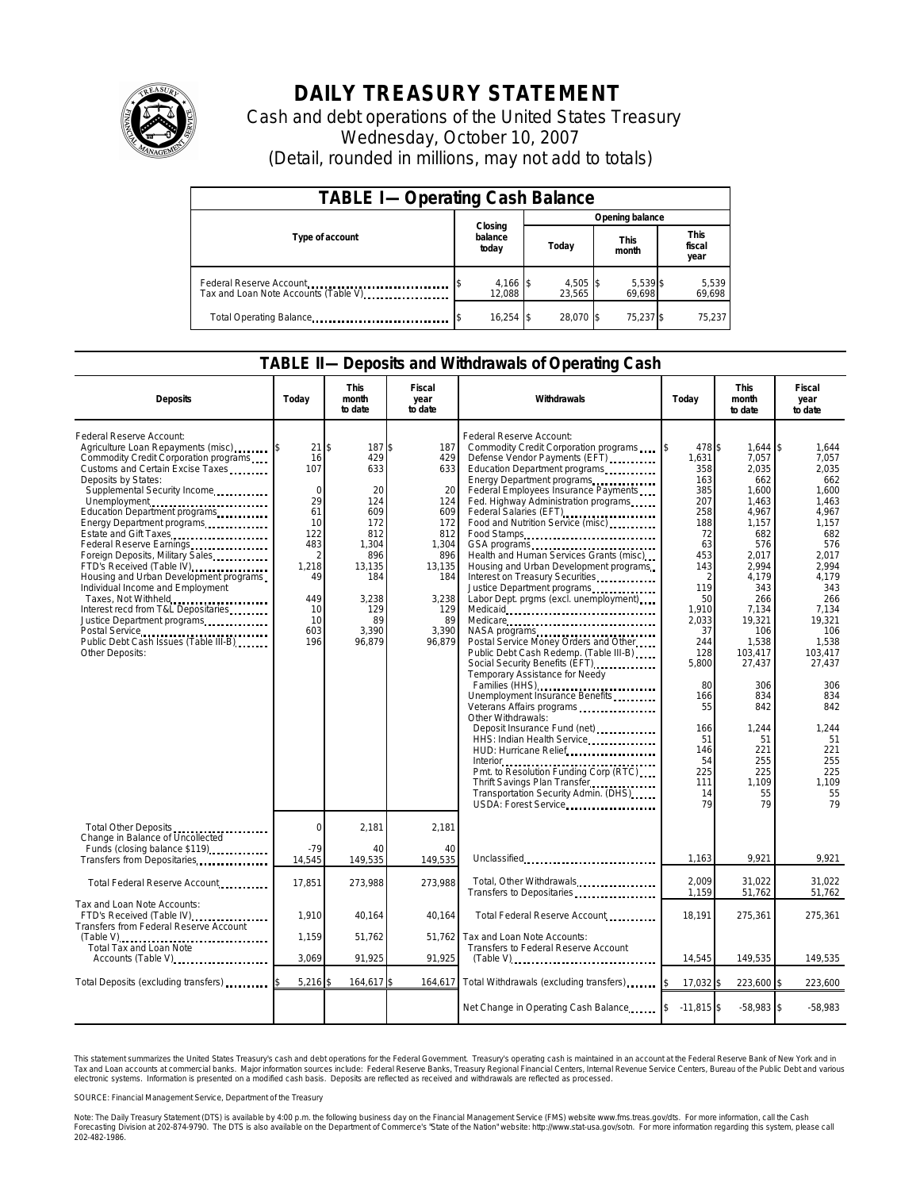

## **DAILY TREASURY STATEMENT**

Cash and debt operations of the United States Treasury Wednesday, October 10, 2007 (Detail, rounded in millions, may not add to totals)

| <b>TABLE I-Operating Cash Balance</b>                           |                             |                      |                      |                               |  |  |  |
|-----------------------------------------------------------------|-----------------------------|----------------------|----------------------|-------------------------------|--|--|--|
|                                                                 |                             | Opening balance      |                      |                               |  |  |  |
| Type of account                                                 | Closing<br>balance<br>today | Today                | <b>This</b><br>month | <b>This</b><br>fiscal<br>year |  |  |  |
| Federal Reserve Account<br>Tax and Loan Note Accounts (Table V) | $4,166$ \$<br>12.088        | $4,505$ \$<br>23.565 | 5,539 \$<br>69.698   | 5,539<br>69,698               |  |  |  |
| Total Operating Balance                                         | $16,254$ \$                 | 28.070 \$            | 75,237 \$            | 75.237                        |  |  |  |

## **TABLE II—Deposits and Withdrawals of Operating Cash**

| <b>Deposits</b>                                                                                                                                                                                                                                                                                                                                                                                                                                                                                                                                                                                                                                | Today                                                                                                                         | This<br>month<br>to date                                                                                                               | Fiscal<br>year<br>to date                                                                                                     | Withdrawals                                                                                                                                                                                                                                                                                                                                                                                                                                                                                                                                                                                                                                                                                                                                                                                                                                                                                                                                                                                                                                                                                                                                                                                                                            | Today                                                                                                                                                                                                                       | <b>This</b><br>month<br>to date                                                                                                                                                                                                                                       | Fiscal<br>year<br>to date                                                                                                                                                                                                                                       |
|------------------------------------------------------------------------------------------------------------------------------------------------------------------------------------------------------------------------------------------------------------------------------------------------------------------------------------------------------------------------------------------------------------------------------------------------------------------------------------------------------------------------------------------------------------------------------------------------------------------------------------------------|-------------------------------------------------------------------------------------------------------------------------------|----------------------------------------------------------------------------------------------------------------------------------------|-------------------------------------------------------------------------------------------------------------------------------|----------------------------------------------------------------------------------------------------------------------------------------------------------------------------------------------------------------------------------------------------------------------------------------------------------------------------------------------------------------------------------------------------------------------------------------------------------------------------------------------------------------------------------------------------------------------------------------------------------------------------------------------------------------------------------------------------------------------------------------------------------------------------------------------------------------------------------------------------------------------------------------------------------------------------------------------------------------------------------------------------------------------------------------------------------------------------------------------------------------------------------------------------------------------------------------------------------------------------------------|-----------------------------------------------------------------------------------------------------------------------------------------------------------------------------------------------------------------------------|-----------------------------------------------------------------------------------------------------------------------------------------------------------------------------------------------------------------------------------------------------------------------|-----------------------------------------------------------------------------------------------------------------------------------------------------------------------------------------------------------------------------------------------------------------|
| Federal Reserve Account:<br>Agriculture Loan Repayments (misc)<br>Commodity Credit Corporation programs<br>Customs and Certain Excise Taxes<br>Deposits by States:<br>Supplemental Security Income<br>Unemployment<br>Education Department programs<br>Energy Department programs<br>Estate and Gift Taxes<br>Federal Reserve Earnings<br>Foreign Deposits, Military Sales<br>FTD's Received (Table IV)<br>Housing and Urban Development programs<br>Individual Income and Employment<br>Taxes, Not Withheld<br>Interest recd from T&L Depositaries<br>Justice Department programs<br>Public Debt Cash Issues (Table III-B)<br>Other Deposits: | 21<br>16<br>107<br>$\Omega$<br>29<br>61<br>10<br>122<br>483<br>$\overline{2}$<br>1,218<br>49<br>449<br>10<br>10<br>603<br>196 | \$<br>187 \$<br>429<br>633<br>20<br>124<br>609<br>172<br>812<br>1,304<br>896<br>13,135<br>184<br>3,238<br>129<br>89<br>3,390<br>96,879 | 187<br>429<br>633<br>20<br>124<br>609<br>172<br>812<br>1,304<br>896<br>13,135<br>184<br>3,238<br>129<br>89<br>3,390<br>96,879 | Federal Reserve Account:<br>Commodity Credit Corporation programs<br>Defense Vendor Payments (EFT)<br>Education Department programs<br>Energy Department programs<br>Federal Employees Insurance Payments<br>Fed. Highway Administration programs<br>Federal Salaries (EFT)<br>1999 - Patricia Carlo Barbara, actrice Carlo Barbara, actrice Carlo Barbara<br>1999 - Patricia Carlo Barbara, actrice Carlo Barbara<br>1999 - Patricia Carlo Barbara<br>1999 - Patricia Carlo Barbara<br>1999<br>Food and Nutrition Service (misc)<br>Food Stamps<br>Health and Human Services Grants (misc)<br>Housing and Urban Development programs<br>Interest on Treasury Securities<br>Justice Department programs<br>Labor Dept. prgms (excl. unemployment).<br>NASA programs<br>Postal Service Money Orders and Other<br>Public Debt Cash Redemp. (Table III-B)<br>Social Security Benefits (EFT)<br><br>Temporary Assistance for Needy<br>Families (HHS)<br>Unemployment Insurance Benefits<br>Veterans Affairs programs<br>Other Withdrawals:<br>HHS: Indian Health Service<br>HUD: Hurricane Relief<br>Pmt. to Resolution Funding Corp (RTC)<br>Thrift Savings Plan Transfer<br>Transportation Security Admin. (DHS)<br>USDA: Forest Service | 478 \$<br>1,631<br>358<br>163<br>385<br>207<br>258<br>188<br>72<br>63<br>453<br>143<br>2<br>119<br>50<br>1,910<br>2,033<br>37<br>244<br>128<br>5,800<br>80<br>166<br>55<br>166<br>51<br>146<br>54<br>225<br>111<br>14<br>79 | $1,644$ \\$<br>7.057<br>2,035<br>662<br>1,600<br>1,463<br>4,967<br>1,157<br>682<br>576<br>2,017<br>2,994<br>4,179<br>343<br>266<br>7,134<br>19,321<br>106<br>1,538<br>103,417<br>27,437<br>306<br>834<br>842<br>1,244<br>51<br>221<br>255<br>225<br>1.109<br>55<br>79 | 1,644<br>7.057<br>2,035<br>662<br>1.600<br>1.463<br>4,967<br>1,157<br>682<br>576<br>2,017<br>2.994<br>4,179<br>343<br>266<br>7,134<br>19.321<br>106<br>1,538<br>103.417<br>27,437<br>306<br>834<br>842<br>1,244<br>51<br>221<br>255<br>225<br>1.109<br>55<br>79 |
| Total Other Deposits<br>Change in Balance of Uncollected<br>Funds (closing balance \$119)                                                                                                                                                                                                                                                                                                                                                                                                                                                                                                                                                      | $\Omega$<br>$-79$                                                                                                             | 2.181<br>40                                                                                                                            | 2.181<br>40                                                                                                                   |                                                                                                                                                                                                                                                                                                                                                                                                                                                                                                                                                                                                                                                                                                                                                                                                                                                                                                                                                                                                                                                                                                                                                                                                                                        |                                                                                                                                                                                                                             |                                                                                                                                                                                                                                                                       |                                                                                                                                                                                                                                                                 |
| Transfers from Depositaries                                                                                                                                                                                                                                                                                                                                                                                                                                                                                                                                                                                                                    | 14,545                                                                                                                        | 149,535                                                                                                                                | 149,535                                                                                                                       | Unclassified                                                                                                                                                                                                                                                                                                                                                                                                                                                                                                                                                                                                                                                                                                                                                                                                                                                                                                                                                                                                                                                                                                                                                                                                                           | 1,163                                                                                                                                                                                                                       | 9.921                                                                                                                                                                                                                                                                 | 9,921                                                                                                                                                                                                                                                           |
| Total Federal Reserve Account                                                                                                                                                                                                                                                                                                                                                                                                                                                                                                                                                                                                                  | 17,851                                                                                                                        | 273,988                                                                                                                                | 273,988                                                                                                                       | Total, Other Withdrawals<br>Transfers to Depositaries                                                                                                                                                                                                                                                                                                                                                                                                                                                                                                                                                                                                                                                                                                                                                                                                                                                                                                                                                                                                                                                                                                                                                                                  | 2,009<br>1,159                                                                                                                                                                                                              | 31,022<br>51,762                                                                                                                                                                                                                                                      | 31,022<br>51,762                                                                                                                                                                                                                                                |
| Tax and Loan Note Accounts:<br>FTD's Received (Table IV)<br>Transfers from Federal Reserve Account                                                                                                                                                                                                                                                                                                                                                                                                                                                                                                                                             | 1.910                                                                                                                         | 40.164                                                                                                                                 | 40.164                                                                                                                        | Total Federal Reserve Account                                                                                                                                                                                                                                                                                                                                                                                                                                                                                                                                                                                                                                                                                                                                                                                                                                                                                                                                                                                                                                                                                                                                                                                                          | 18,191                                                                                                                                                                                                                      | 275,361                                                                                                                                                                                                                                                               | 275,361                                                                                                                                                                                                                                                         |
| Total Tax and Loan Note                                                                                                                                                                                                                                                                                                                                                                                                                                                                                                                                                                                                                        | 1,159                                                                                                                         | 51,762                                                                                                                                 | 51,762                                                                                                                        | Tax and Loan Note Accounts:<br>Transfers to Federal Reserve Account                                                                                                                                                                                                                                                                                                                                                                                                                                                                                                                                                                                                                                                                                                                                                                                                                                                                                                                                                                                                                                                                                                                                                                    |                                                                                                                                                                                                                             |                                                                                                                                                                                                                                                                       |                                                                                                                                                                                                                                                                 |
| Accounts (Table V)                                                                                                                                                                                                                                                                                                                                                                                                                                                                                                                                                                                                                             | 3.069                                                                                                                         | 91.925                                                                                                                                 | 91.925                                                                                                                        | $(Table V)$                                                                                                                                                                                                                                                                                                                                                                                                                                                                                                                                                                                                                                                                                                                                                                                                                                                                                                                                                                                                                                                                                                                                                                                                                            | 14,545                                                                                                                                                                                                                      | 149,535                                                                                                                                                                                                                                                               | 149,535                                                                                                                                                                                                                                                         |
| Total Deposits (excluding transfers)                                                                                                                                                                                                                                                                                                                                                                                                                                                                                                                                                                                                           | 5,216                                                                                                                         | 164,617                                                                                                                                | 164,617                                                                                                                       | Total Withdrawals (excluding transfers)                                                                                                                                                                                                                                                                                                                                                                                                                                                                                                                                                                                                                                                                                                                                                                                                                                                                                                                                                                                                                                                                                                                                                                                                | 17,032 \$                                                                                                                                                                                                                   | 223,600 \$                                                                                                                                                                                                                                                            | 223,600                                                                                                                                                                                                                                                         |
|                                                                                                                                                                                                                                                                                                                                                                                                                                                                                                                                                                                                                                                |                                                                                                                               |                                                                                                                                        |                                                                                                                               | Net Change in Operating Cash Balance                                                                                                                                                                                                                                                                                                                                                                                                                                                                                                                                                                                                                                                                                                                                                                                                                                                                                                                                                                                                                                                                                                                                                                                                   | $-11.815$ \$                                                                                                                                                                                                                | $-58,983$ \$                                                                                                                                                                                                                                                          | $-58.983$                                                                                                                                                                                                                                                       |

This statement summarizes the United States Treasury's cash and debt operations for the Federal Government.<br>Tax and Loan accounts at commercial banks. Major information sources include: Federal Reserve Banks, Trea<br>electr narizes the United States Treasury's cash and debt operations for the Federal Government. Treasury's operating cash is maintained in an account at the Federal Reserve Bank of New York and in<br>ints at commercial banks. Major

SOURCE: Financial Management Service, Department of the Treasury

Note: The Daily Treasury Statement (DTS) is available by 4:00 p.m. the following business day on the Financial Management Service (FMS) website www.fms.treas.gov/dts. For more information, call the Cash<br>Forecasting Divisio 202-482-1986.